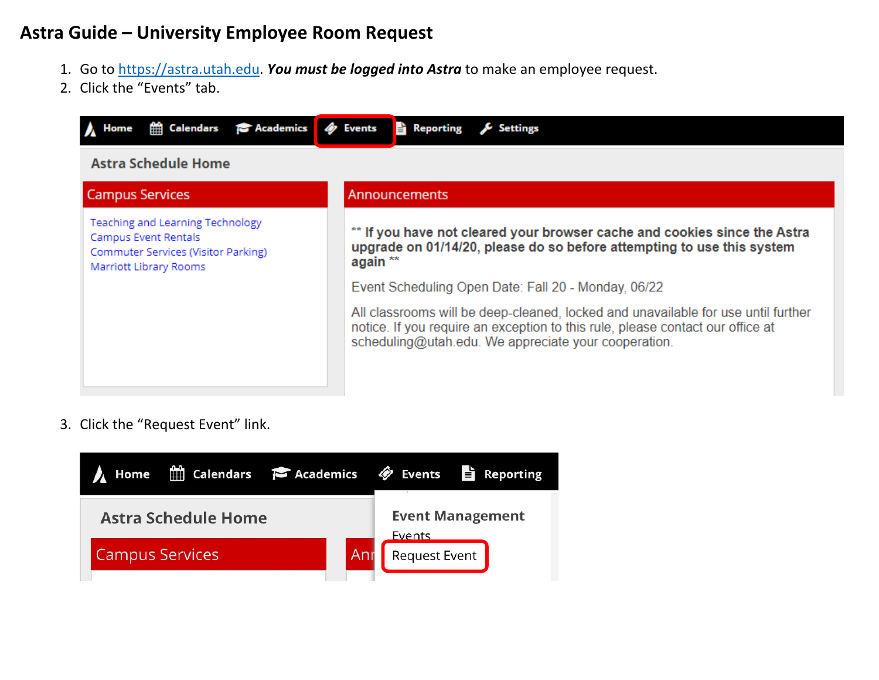## **Astra Guide – University Employee Room Request**

- 1. Go to [https://astra.utah.edu.](https://astra.utah.edu/) *You must be logged into Astra* to make an employee request.
- 2. Click the "Events" tab.



3. Click the "Request Event" link.

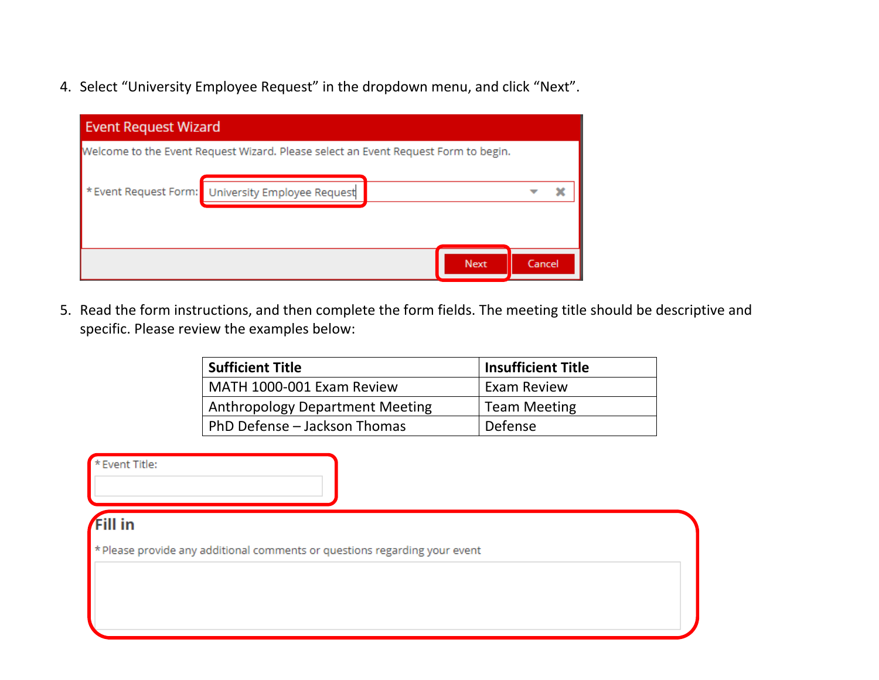4. Select "University Employee Request" in the dropdown menu, and click "Next".

| <b>Event Request Wizard</b> |                                                                                    |             |        |   |  |  |  |  |
|-----------------------------|------------------------------------------------------------------------------------|-------------|--------|---|--|--|--|--|
|                             | Welcome to the Event Request Wizard. Please select an Event Request Form to begin. |             |        |   |  |  |  |  |
|                             | * Event Request Form: University Employee Request                                  |             |        | × |  |  |  |  |
|                             |                                                                                    | <b>Next</b> | Cancel |   |  |  |  |  |

5. Read the form instructions, and then complete the form fields. The meeting title should be descriptive and specific. Please review the examples below:

| <b>Sufficient Title</b>                | <b>Insufficient Title</b> |
|----------------------------------------|---------------------------|
| MATH 1000-001 Exam Review              | <b>Exam Review</b>        |
| <b>Anthropology Department Meeting</b> | <b>Team Meeting</b>       |
| PhD Defense - Jackson Thomas           | Defense                   |

\* Event Title:

## **Fill in**

\* Please provide any additional comments or questions regarding your event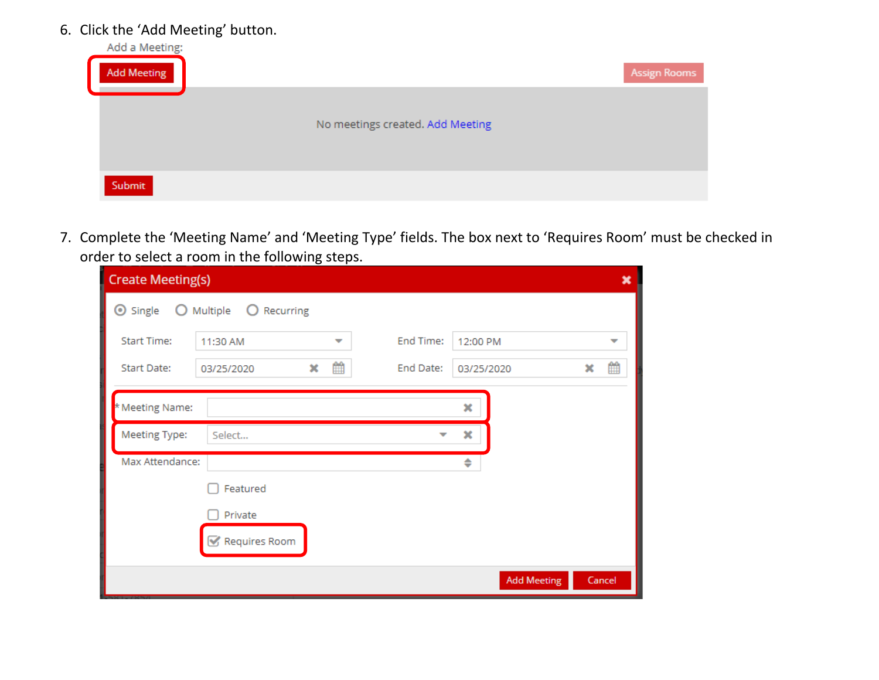## 6. Click the 'Add Meeting' button.

| Add a Meeting:<br><b>Add Meeting</b> |                                  | <b>Assign Rooms</b> |
|--------------------------------------|----------------------------------|---------------------|
|                                      | No meetings created. Add Meeting |                     |
| Submit                               |                                  |                     |

7. Complete the 'Meeting Name' and 'Meeting Type' fields. The box next to 'Requires Room' must be checked in order to select a room in the following steps.

| <b>Create Meeting(s)</b>         |                              |                         | ×      |
|----------------------------------|------------------------------|-------------------------|--------|
| <b>⊙</b> Single<br>O             | Multiple<br>Recurring<br>- O |                         |        |
| <b>Start Time:</b>               | 11:30 AM<br>▼                | End Time:<br>12:00 PM   | ▼      |
| Start Date:                      | 雦<br>×<br>03/25/2020         | End Date:<br>03/25/2020 | 雦<br>× |
| * Meeting Name:<br>Meeting Type: | Select                       | ×<br>×                  |        |
| Max Attendance:                  |                              | ٠                       |        |
|                                  | Featured                     |                         |        |
|                                  | Private<br>Requires Room     |                         |        |
|                                  |                              | <b>Add Meeting</b>      | Cancel |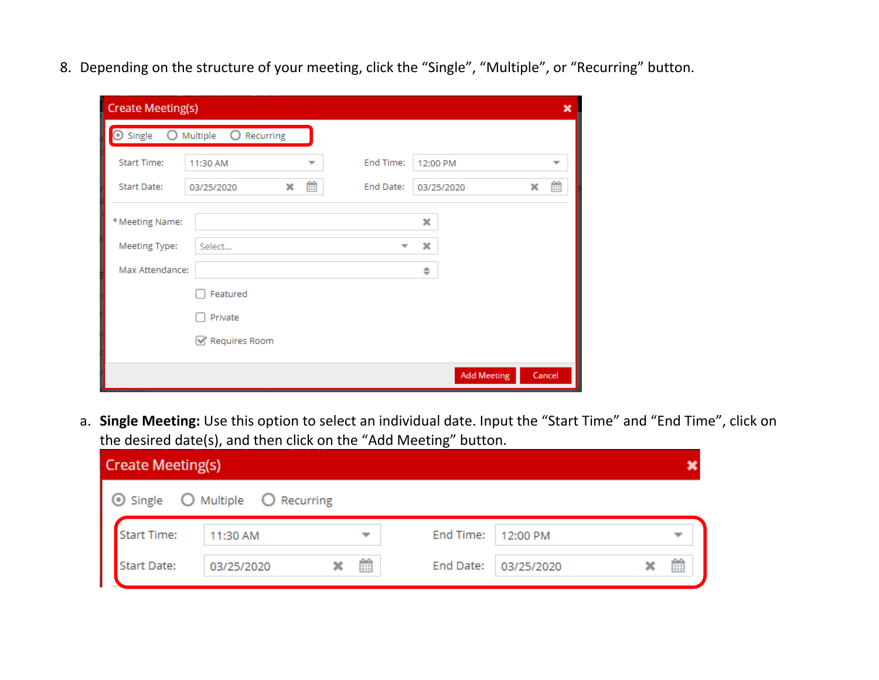8. Depending on the structure of your meeting, click the "Single", "Multiple", or "Recurring" button.

| <b>Create Meeting(s)</b> |                                      |           |                    | ×      |
|--------------------------|--------------------------------------|-----------|--------------------|--------|
| Single<br>$\bullet$      | $\circ$<br>Multiple<br>Recurring     |           |                    |        |
| <b>Start Time:</b>       | 11:30 AM<br>$\overline{\phantom{a}}$ | End Time: | 12:00 PM           | ▼      |
| Start Date:              | 雦<br>×<br>03/25/2020                 | End Date: | 03/25/2020         | 雦<br>× |
| * Meeting Name:          |                                      |           | ×                  |        |
| Meeting Type:            | Select                               |           | ×                  |        |
| Max Attendance:          |                                      |           | ÷                  |        |
|                          | Featured                             |           |                    |        |
|                          | Private                              |           |                    |        |
|                          | Requires Room                        |           |                    |        |
|                          |                                      |           | <b>Add Meeting</b> | Cancel |

a. **Single Meeting:** Use this option to select an individual date. Input the "Start Time" and "End Time", click on the desired date(s), and then click on the "Add Meeting" button.

| <b>Create Meeting(s)</b>                          |                        |        |                         |   |  |  |  |  |
|---------------------------------------------------|------------------------|--------|-------------------------|---|--|--|--|--|
|                                                   | O Multiple O Recurring |        |                         |   |  |  |  |  |
| <b>Start Time:</b>                                | 11:30 AM               |        | End Time:<br>12:00 PM   |   |  |  |  |  |
| ⊙ Single<br>Start Tim<br>Start Dat<br>Start Date: | 03/25/2020             | 雦<br>× | End Date:<br>03/25/2020 | ₩ |  |  |  |  |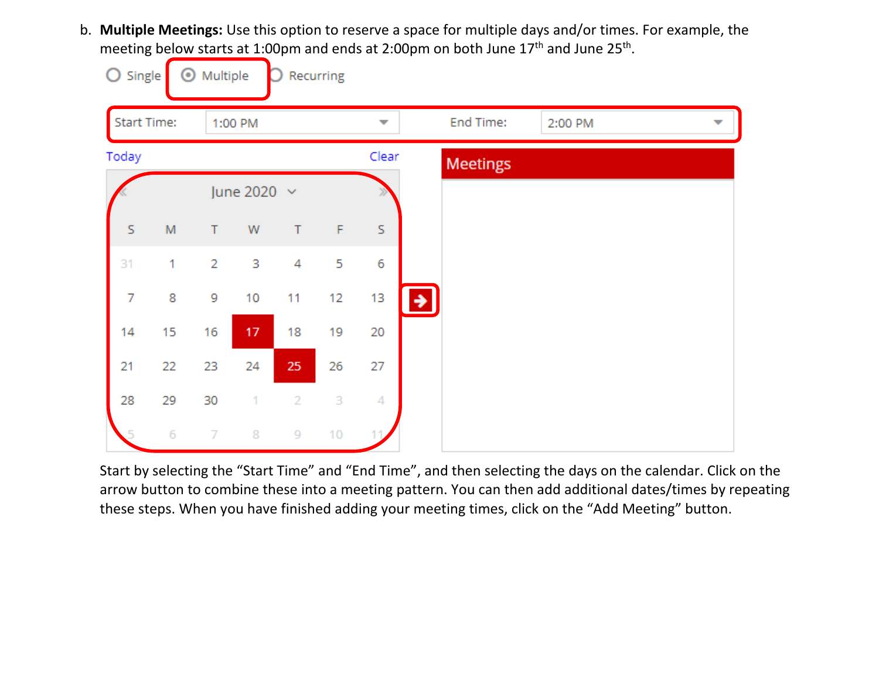b. **Multiple Meetings:** Use this option to reserve a space for multiple days and/or times. For example, the meeting below starts at 1:00pm and ends at 2:00pm on both June 17<sup>th</sup> and June 25<sup>th</sup>.

| O<br>Single        |    | Multiple<br>$_{\odot}$ |                  |                | Recurring   |                          |                           |
|--------------------|----|------------------------|------------------|----------------|-------------|--------------------------|---------------------------|
| <b>Start Time:</b> |    |                        | 1:00 PM          |                |             | $\overline{\phantom{a}}$ | End Time:<br>2:00 PM<br>▼ |
| Today              |    |                        |                  |                |             | Clear                    | <b>Meetings</b>           |
|                    |    |                        | June 2020 $\sim$ |                |             |                          |                           |
| S                  | M  | $\top$                 | W                | $\top$         | $\mathsf F$ | S.                       |                           |
| 31                 | 1  | $\overline{2}$         | 3                | 4              | 5           | 6                        |                           |
| 7                  | 8  | 9                      | 10               | 11             | 12          | 13                       | →                         |
| 14                 | 15 | 16                     | 17               | 18             | 19          | 20                       |                           |
| 21                 | 22 | 23                     | 24               | 25             | 26          | 27                       |                           |
| 28                 | 29 | 30                     | 1                | $\overline{2}$ | 3           | 4                        |                           |
|                    | 6  | $\overline{7}$         | 8                | 9              | 10          |                          |                           |

Start by selecting the "Start Time" and "End Time", and then selecting the days on the calendar. Click on the arrow button to combine these into a meeting pattern. You can then add additional dates/times by repeating these steps. When you have finished adding your meeting times, click on the "Add Meeting" button.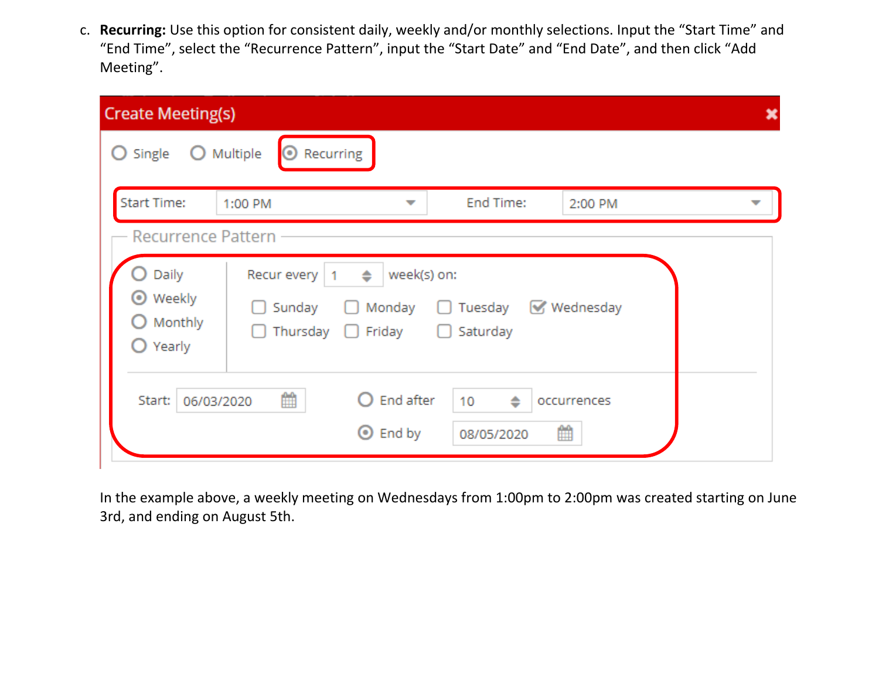c. **Recurring:** Use this option for consistent daily, weekly and/or monthly selections. Input the "Start Time" and "End Time", select the "Recurrence Pattern", input the "Start Date" and "End Date", and then click "Add Meeting".

| <b>Create Meeting(s)</b>                                      |                                                                                              |                                                    |                    |  |
|---------------------------------------------------------------|----------------------------------------------------------------------------------------------|----------------------------------------------------|--------------------|--|
| Single<br>O                                                   | Recurring<br>Multiple<br><b>O</b>                                                            |                                                    |                    |  |
| <b>Start Time:</b>                                            | 1:00 PM<br>-                                                                                 | End Time:                                          | 2:00 PM            |  |
| <b>Recurrence Pattern</b>                                     |                                                                                              |                                                    |                    |  |
| Daily<br><b>⊙</b> Weekly<br>Monthly<br>O<br>$\bigcirc$ Yearly | Recur every<br>$\Rightarrow$<br>1<br>Sunday<br>Monday<br>. .<br>ь.<br>Thursday $\Box$ Friday | week(s) on:<br>Tuesday<br>Saturday<br>$\mathbf{L}$ | <b>₩</b> Wednesday |  |
| Start:<br>06/03/2020                                          | 雦<br>End after<br>$\odot$ End by                                                             | $\Rightarrow$<br>10<br>08/05/2020                  | occurrences<br>雦   |  |

In the example above, a weekly meeting on Wednesdays from 1:00pm to 2:00pm was created starting on June 3rd, and ending on August 5th.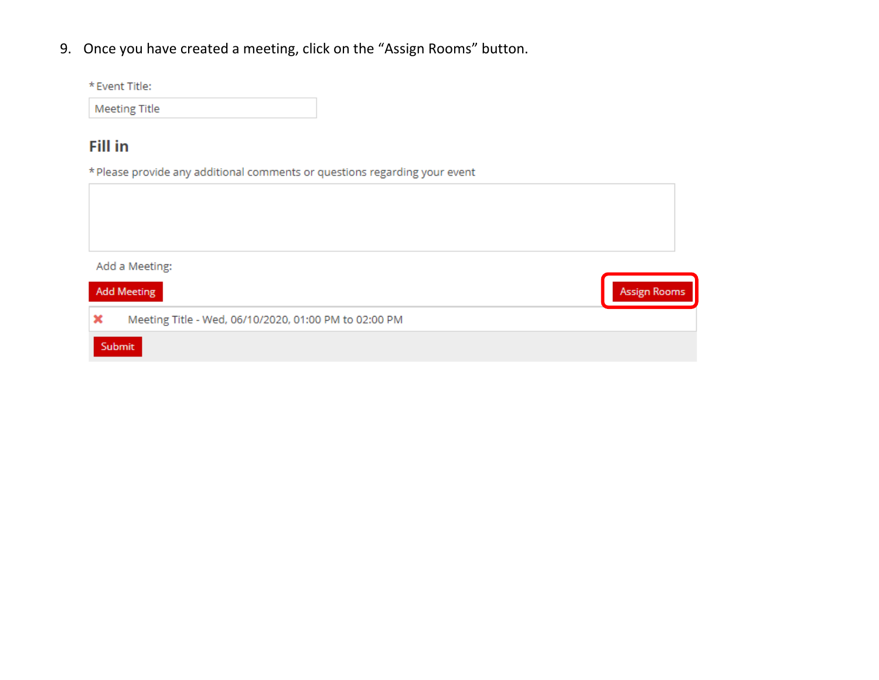9. Once you have created a meeting, click on the "Assign Rooms" button.

| <b>Fill in</b>                                                             |                     |
|----------------------------------------------------------------------------|---------------------|
| * Please provide any additional comments or questions regarding your event |                     |
|                                                                            |                     |
|                                                                            |                     |
|                                                                            |                     |
| Add a Meeting:                                                             |                     |
| <b>Add Meeting</b>                                                         | <b>Assign Rooms</b> |
| Meeting Title - Wed, 06/10/2020, 01:00 PM to 02:00 PM<br>×                 |                     |
| Submit                                                                     |                     |

\* Event Title:

**Meeting Title**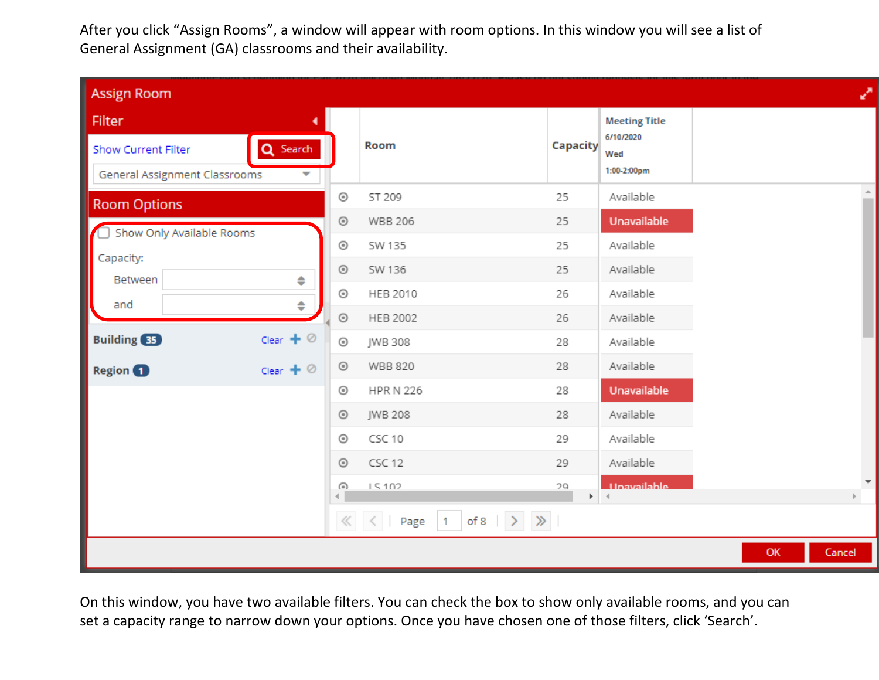After you click "Assign Rooms", a window will appear with room options. In this window you will see a list of General Assignment (GA) classrooms and their availability.

| <b>Assign Room</b>                                                                            |            |                                                                                                                                                                                                                                                                                                                                                                                                                                                                                                                                                                                      |                             |                                                         |    |        | ₽           |
|-----------------------------------------------------------------------------------------------|------------|--------------------------------------------------------------------------------------------------------------------------------------------------------------------------------------------------------------------------------------------------------------------------------------------------------------------------------------------------------------------------------------------------------------------------------------------------------------------------------------------------------------------------------------------------------------------------------------|-----------------------------|---------------------------------------------------------|----|--------|-------------|
| <b>Filter</b><br>Q Search<br><b>Show Current Filter</b><br>General Assignment Classrooms<br>╾ |            | Room                                                                                                                                                                                                                                                                                                                                                                                                                                                                                                                                                                                 | <b>Capacity</b>             | <b>Meeting Title</b><br>6/10/2020<br>Wed<br>1:00-2:00pm |    |        |             |
| <b>Room Options</b>                                                                           | $_{\odot}$ | ST 209                                                                                                                                                                                                                                                                                                                                                                                                                                                                                                                                                                               | 25                          | Available                                               |    |        | $\triangle$ |
| Show Only Available Rooms                                                                     | $_{\odot}$ | <b>WBB 206</b>                                                                                                                                                                                                                                                                                                                                                                                                                                                                                                                                                                       | 25                          | Unavailable                                             |    |        |             |
| Capacity:                                                                                     | $_{\odot}$ | SW 135                                                                                                                                                                                                                                                                                                                                                                                                                                                                                                                                                                               | 25                          | Available                                               |    |        |             |
| Between<br>♦                                                                                  | $_{\odot}$ | SW 136                                                                                                                                                                                                                                                                                                                                                                                                                                                                                                                                                                               | 25                          | Available                                               |    |        |             |
| and                                                                                           | $_{\odot}$ | HEB 2010                                                                                                                                                                                                                                                                                                                                                                                                                                                                                                                                                                             | 26                          | Available                                               |    |        |             |
| ♦                                                                                             | $_{\odot}$ | HEB 2002                                                                                                                                                                                                                                                                                                                                                                                                                                                                                                                                                                             | 26                          | Available                                               |    |        |             |
| Clear $+$ $\oslash$<br><b>Building</b> 35                                                     | $_{\odot}$ | JWB 308                                                                                                                                                                                                                                                                                                                                                                                                                                                                                                                                                                              | 28                          | Available                                               |    |        |             |
| Clear $+$ $\oslash$<br><b>Region</b>                                                          | $_{\odot}$ | <b>WBB 820</b>                                                                                                                                                                                                                                                                                                                                                                                                                                                                                                                                                                       | 28                          | Available                                               |    |        |             |
|                                                                                               | $_{\odot}$ | <b>HPR N 226</b>                                                                                                                                                                                                                                                                                                                                                                                                                                                                                                                                                                     | 28                          | Unavailable                                             |    |        |             |
|                                                                                               | $_{\odot}$ | JWB 208                                                                                                                                                                                                                                                                                                                                                                                                                                                                                                                                                                              | 28                          | Available                                               |    |        |             |
|                                                                                               | $_{\odot}$ | CSC 10                                                                                                                                                                                                                                                                                                                                                                                                                                                                                                                                                                               | 29                          | Available                                               |    |        |             |
|                                                                                               | $_{\odot}$ | CSC 12                                                                                                                                                                                                                                                                                                                                                                                                                                                                                                                                                                               | 29                          | Available                                               |    |        |             |
|                                                                                               | $\odot$    | 15102                                                                                                                                                                                                                                                                                                                                                                                                                                                                                                                                                                                | 79<br>$\blacktriangleright$ | <b>Unavailable</b><br>$\rightarrow$                     |    |        |             |
|                                                                                               |            | $\left\langle \!\!\left\langle \begin{array}{c c} \end{array}\right. \right. \right. \left\langle \begin{array}{c c} \end{array}\right. \left\vert \begin{array}{c c} \end{array}\right. \left\vert \begin{array}{c c} \end{array}\right. \left\langle \begin{array}{c c} \end{array}\right. \left\vert \begin{array}{c c} \end{array}\right. \left\langle \begin{array}{c c} \end{array}\right. \left\langle \begin{array}{c c} \end{array}\right. \left\langle \begin{array}{c c} \end{array}\right. \left\langle \begin{array}{c c} \end{array}\right. \left\langle \begin{array$ |                             |                                                         |    |        |             |
|                                                                                               |            |                                                                                                                                                                                                                                                                                                                                                                                                                                                                                                                                                                                      |                             |                                                         | OK | Cancel |             |

On this window, you have two available filters. You can check the box to show only available rooms, and you can set a capacity range to narrow down your options. Once you have chosen one of those filters, click 'Search'.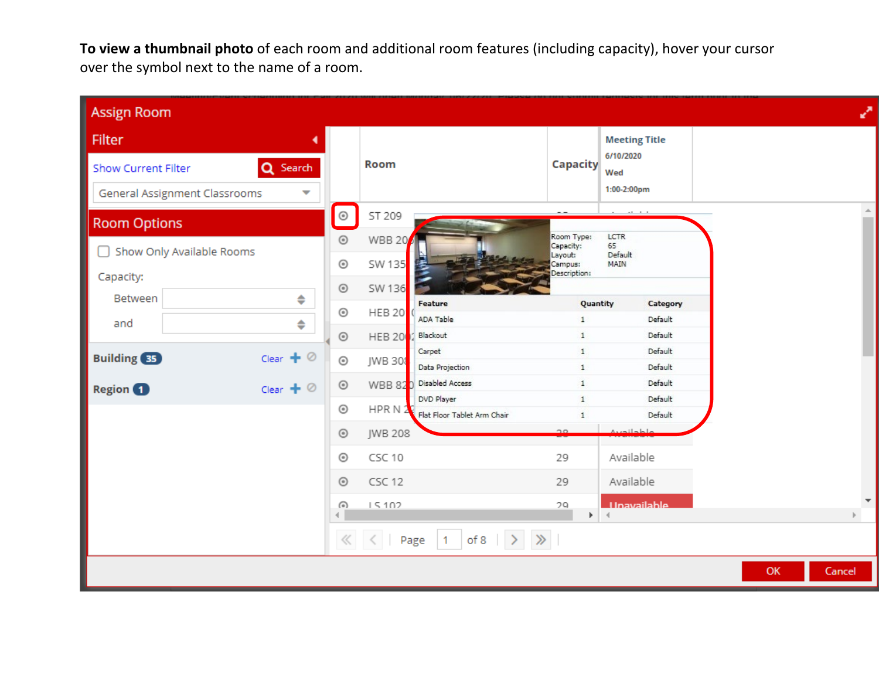**To view a thumbnail photo** of each room and additional room features (including capacity), hover your cursor over the symbol next to the name of a room.

| <b>Assign Room</b>         |                                                           |                          |                                                                                                                                                                                                                                                                                                                                                                                                                          |                                       |                                    |                       |                    |    |        | ₽                        |
|----------------------------|-----------------------------------------------------------|--------------------------|--------------------------------------------------------------------------------------------------------------------------------------------------------------------------------------------------------------------------------------------------------------------------------------------------------------------------------------------------------------------------------------------------------------------------|---------------------------------------|------------------------------------|-----------------------|--------------------|----|--------|--------------------------|
| <b>Filter</b>              |                                                           |                          |                                                                                                                                                                                                                                                                                                                                                                                                                          |                                       |                                    | <b>Meeting Title</b>  |                    |    |        |                          |
| <b>Show Current Filter</b> | Q Search                                                  |                          | <b>Room</b>                                                                                                                                                                                                                                                                                                                                                                                                              |                                       | <b>Capacity</b>                    | 6/10/2020<br>Wed      |                    |    |        |                          |
|                            | General Assignment Classrooms<br>$\overline{\phantom{a}}$ |                          |                                                                                                                                                                                                                                                                                                                                                                                                                          |                                       |                                    | 1:00-2:00pm           |                    |    |        |                          |
| <b>Room Options</b>        |                                                           | $\odot$                  | ST 209                                                                                                                                                                                                                                                                                                                                                                                                                   |                                       |                                    | $2.1 - 1 - 1$         |                    |    |        | $\Delta$                 |
|                            | Show Only Available Rooms                                 | $_{\odot}$               | <b>WBB 20</b>                                                                                                                                                                                                                                                                                                                                                                                                            |                                       | Room Type:<br>Capacity:<br>Layout: | LCTR<br>65<br>Default |                    |    |        |                          |
| Capacity:                  |                                                           | $_{\odot}$               | SW 135                                                                                                                                                                                                                                                                                                                                                                                                                   |                                       | Campus:<br>Description:            | MAIN                  |                    |    |        |                          |
| Between                    | ♦                                                         | $_{\odot}$               | SW 136                                                                                                                                                                                                                                                                                                                                                                                                                   | Feature                               | Quantity                           |                       | Category           |    |        |                          |
| and                        | ♦                                                         | $_{\odot}$               | <b>HEB 20</b>                                                                                                                                                                                                                                                                                                                                                                                                            | <b>ADA Table</b><br>Blackout          | $\mathbf{1}$<br>$\mathbf{1}$       |                       | Default<br>Default |    |        |                          |
| <b>Building</b> 35         | Clear $+ \circ$                                           | $_{\odot}$<br>$_{\odot}$ | <b>HEB 20</b><br>JWB 308                                                                                                                                                                                                                                                                                                                                                                                                 | Carpet                                | $\mathbf{1}$                       |                       | Default            |    |        |                          |
|                            |                                                           |                          |                                                                                                                                                                                                                                                                                                                                                                                                                          | Data Projection                       | $\mathbf{1}$                       |                       | Default            |    |        |                          |
| Region <sup>1</sup>        | Clear $+$ $\oslash$                                       | $_{\odot}$               | WBB 820                                                                                                                                                                                                                                                                                                                                                                                                                  | Disabled Access<br>DVD Player         | $\mathbf{1}$<br>$\mathbf{1}$       |                       | Default<br>Default |    |        |                          |
|                            |                                                           | $_{\odot}$               | HPR N $2$                                                                                                                                                                                                                                                                                                                                                                                                                | Flat Floor Tablet Arm Chair           | $\mathbf{1}$                       |                       | Default            |    |        |                          |
|                            |                                                           | $_{\odot}$               | JWB 208                                                                                                                                                                                                                                                                                                                                                                                                                  |                                       | no.                                |                       |                    |    |        |                          |
|                            |                                                           | $_{\odot}$               | CSC 10                                                                                                                                                                                                                                                                                                                                                                                                                   |                                       | 29                                 | Available             |                    |    |        |                          |
|                            |                                                           | $_{\odot}$               | CSC 12                                                                                                                                                                                                                                                                                                                                                                                                                   |                                       | 29                                 | Available             |                    |    |        |                          |
|                            |                                                           | $\bigcirc$               | 15102                                                                                                                                                                                                                                                                                                                                                                                                                    |                                       | 29                                 | <b>Unavailable</b>    |                    |    |        | $\overline{\phantom{a}}$ |
|                            |                                                           |                          | $\begin{array}{c c c c c} \hline \mbox{\hspace{1.2cm}} & \mbox{\hspace{1.2cm}} & \mbox{\hspace{1.2cm}} & \mbox{\hspace{1.2cm}} & \mbox{\hspace{1.2cm}} & \mbox{\hspace{1.2cm}} & \mbox{\hspace{1.2cm}} & \mbox{\hspace{1.2cm}} & \mbox{\hspace{1.2cm}} & \mbox{\hspace{1.2cm}} & \mbox{\hspace{1.2cm}} & \mbox{\hspace{1.2cm}} & \mbox{\hspace{1.2cm}} & \mbox{\hspace{1.2cm}} & \mbox{\hspace{1.2cm}} & \mbox{\hspace{$ | of 8 $\rightarrow$ $\gg$<br>Page $ 1$ |                                    |                       |                    |    |        |                          |
|                            |                                                           |                          |                                                                                                                                                                                                                                                                                                                                                                                                                          |                                       |                                    |                       |                    | OK | Cancel |                          |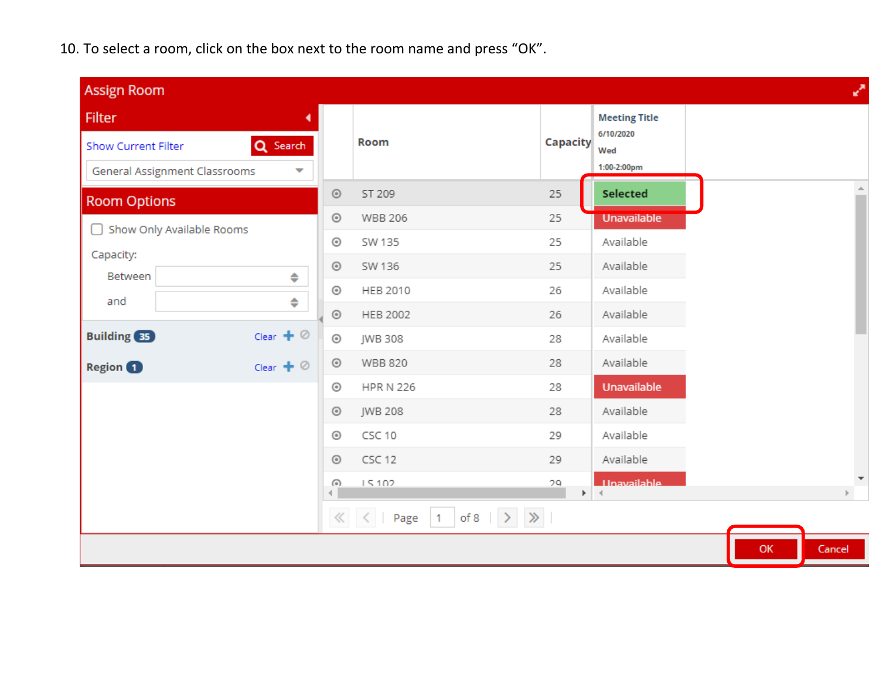10. To select a room, click on the box next to the room name and press "OK".

| <b>Assign Room</b>            |                      |            |                                                |          |                                   |    | ↗      |
|-------------------------------|----------------------|------------|------------------------------------------------|----------|-----------------------------------|----|--------|
| <b>Filter</b>                 |                      |            |                                                |          | <b>Meeting Title</b><br>6/10/2020 |    |        |
| <b>Show Current Filter</b>    | Q Search             |            | Room                                           | Capacity | Wed                               |    |        |
| General Assignment Classrooms | ▼                    |            |                                                |          | 1:00-2:00pm                       |    |        |
| <b>Room Options</b>           |                      | $_{\odot}$ | ST 209                                         | 25       | Selected                          |    |        |
| Show Only Available Rooms     |                      | $_{\odot}$ | <b>WBB 206</b>                                 | 25       | <b>Unavailable</b>                |    |        |
| Capacity:                     |                      | $_{\odot}$ | SW 135                                         | 25       | Available                         |    |        |
| Between                       | $\ddot{\phantom{1}}$ | $_{\odot}$ | SW 136                                         | 25       | Available                         |    |        |
| and                           | ♦                    | $_{\odot}$ | HEB 2010                                       | 26       | Available                         |    |        |
|                               |                      | $_{\odot}$ | HEB 2002                                       | 26       | Available                         |    |        |
| <b>Building</b> 35            | Clear $+$ $\oslash$  | $_{\odot}$ | JWB 308                                        | 28       | Available                         |    |        |
| <b>Region 1</b>               | Clear $+$ $\oslash$  | $_{\odot}$ | <b>WBB 820</b>                                 | 28       | Available                         |    |        |
|                               |                      | $_{\odot}$ | <b>HPR N 226</b>                               | 28       | Unavailable                       |    |        |
|                               |                      | $_{\odot}$ | <b>JWB 208</b>                                 | 28       | Available                         |    |        |
|                               |                      | $_{\odot}$ | CSC 10                                         | 29       | Available                         |    |        |
|                               |                      | $_{\odot}$ | CSC 12                                         | 29       | Available                         |    |        |
|                               |                      | $\odot$    | 15102                                          | 79<br>Þ. | <b>Hnavailable</b>                |    |        |
|                               |                      |            | of 8 $\rightarrow$ $\gg$<br>$\ll$ $\lt$ Page 1 |          |                                   |    |        |
|                               |                      |            |                                                |          |                                   | OK | Cancel |